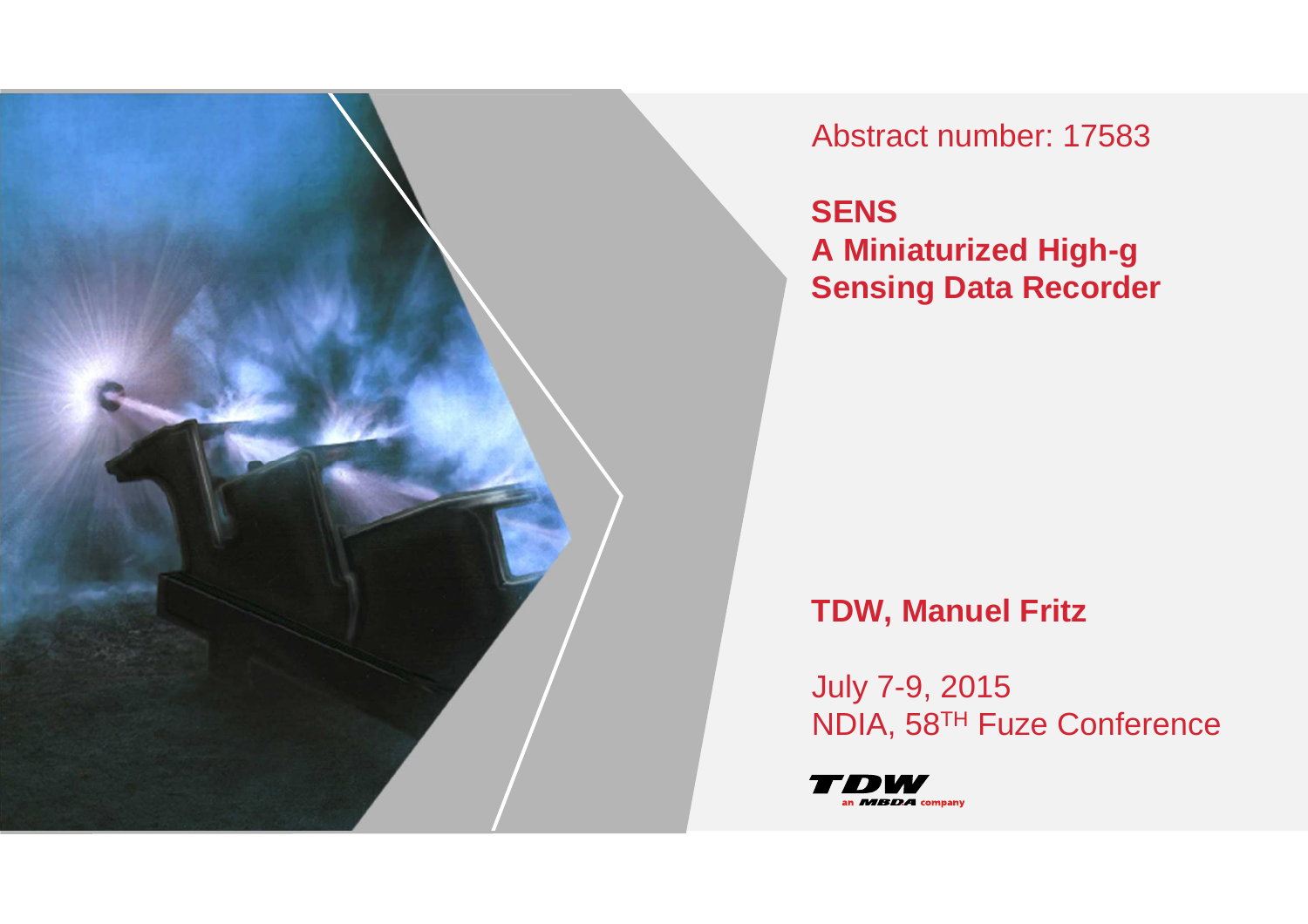

Abstract number: 17583

**SENS A Miniaturized High-gSensing Data Recorder**

# **TDW, Manuel Fritz**

July 7-9, 2015NDIA, 58TH Fuze Conference

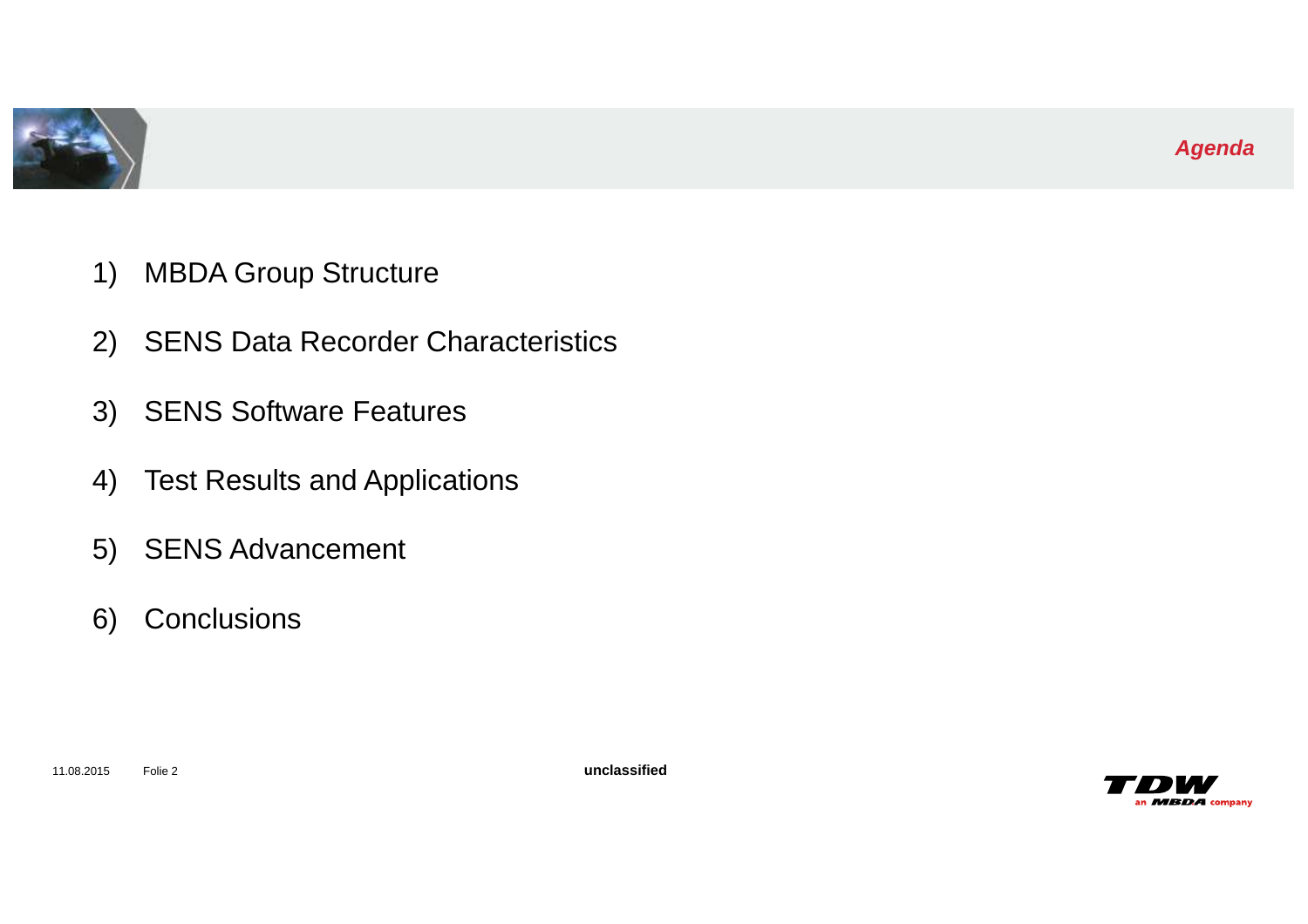

- 1) MBDA Group Structure
- 2) SENS Data Recorder Characteristics
- 3) SENS Software Features
- 4) Test Results and Applications
- 5) SENS Advancement
- 6) Conclusions

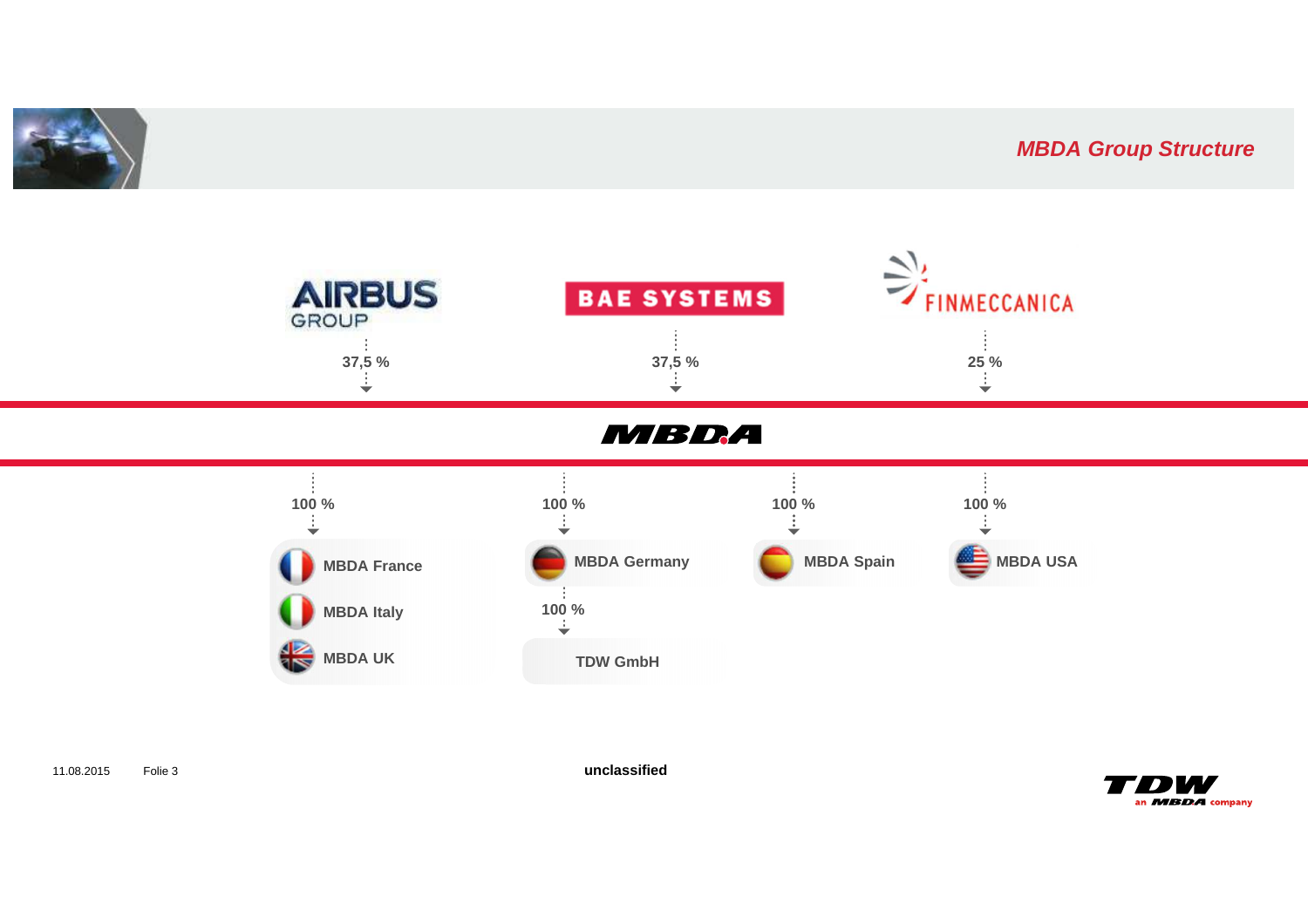

### **MBDA Group Structure**



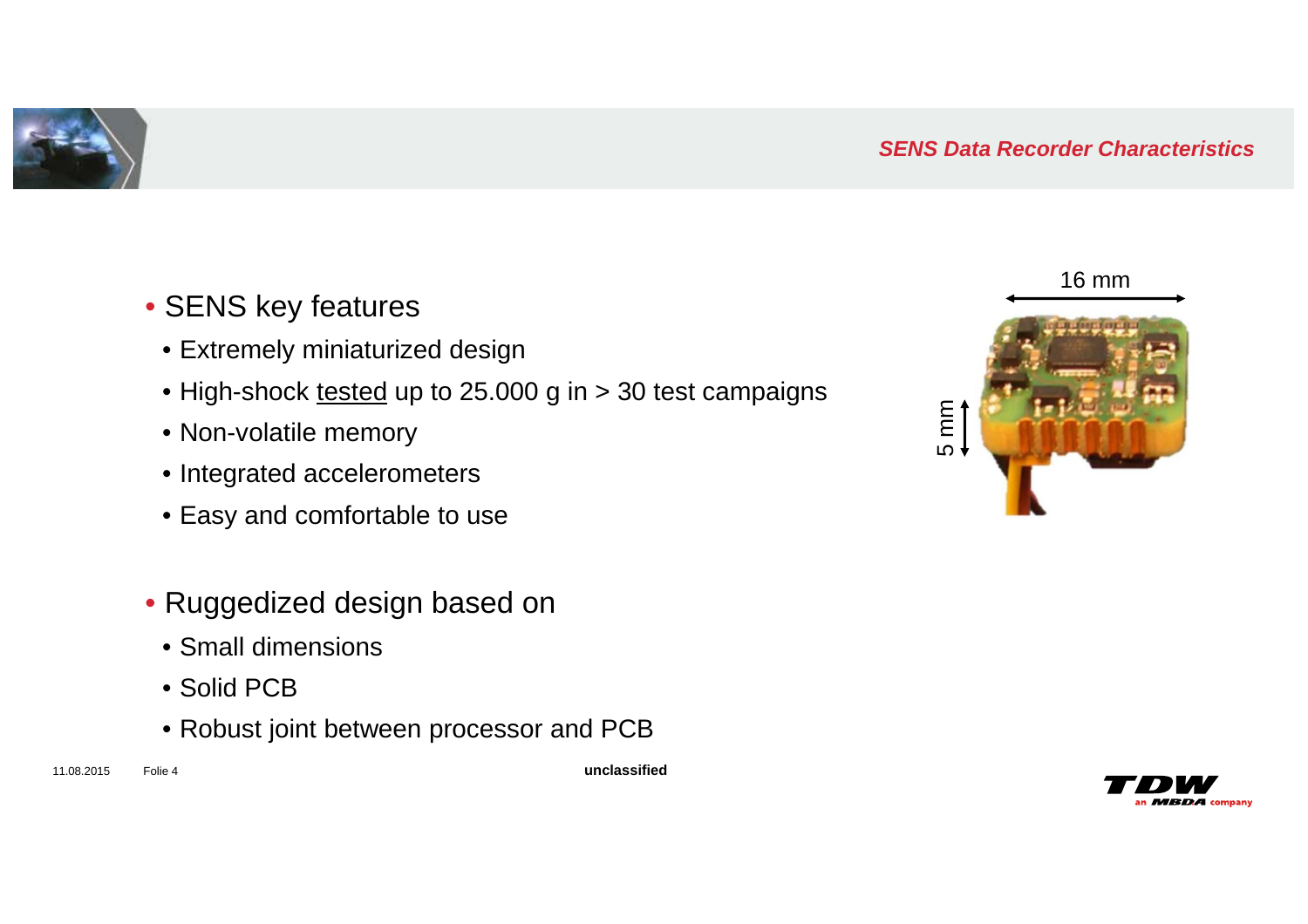### **SENS Data Recorder Characteristics**

- SENS key features
- Extremely miniaturized design
- High-shock <u>tested</u> up to 25.000 g in > 30 test campaigns
- Non-volatile memory
- Integrated accelerometers
- Easy and comfortable to use
- Ruggedized design based on
	- Small dimensions
	- Solid PCB
	- Robust joint between processor and PCB





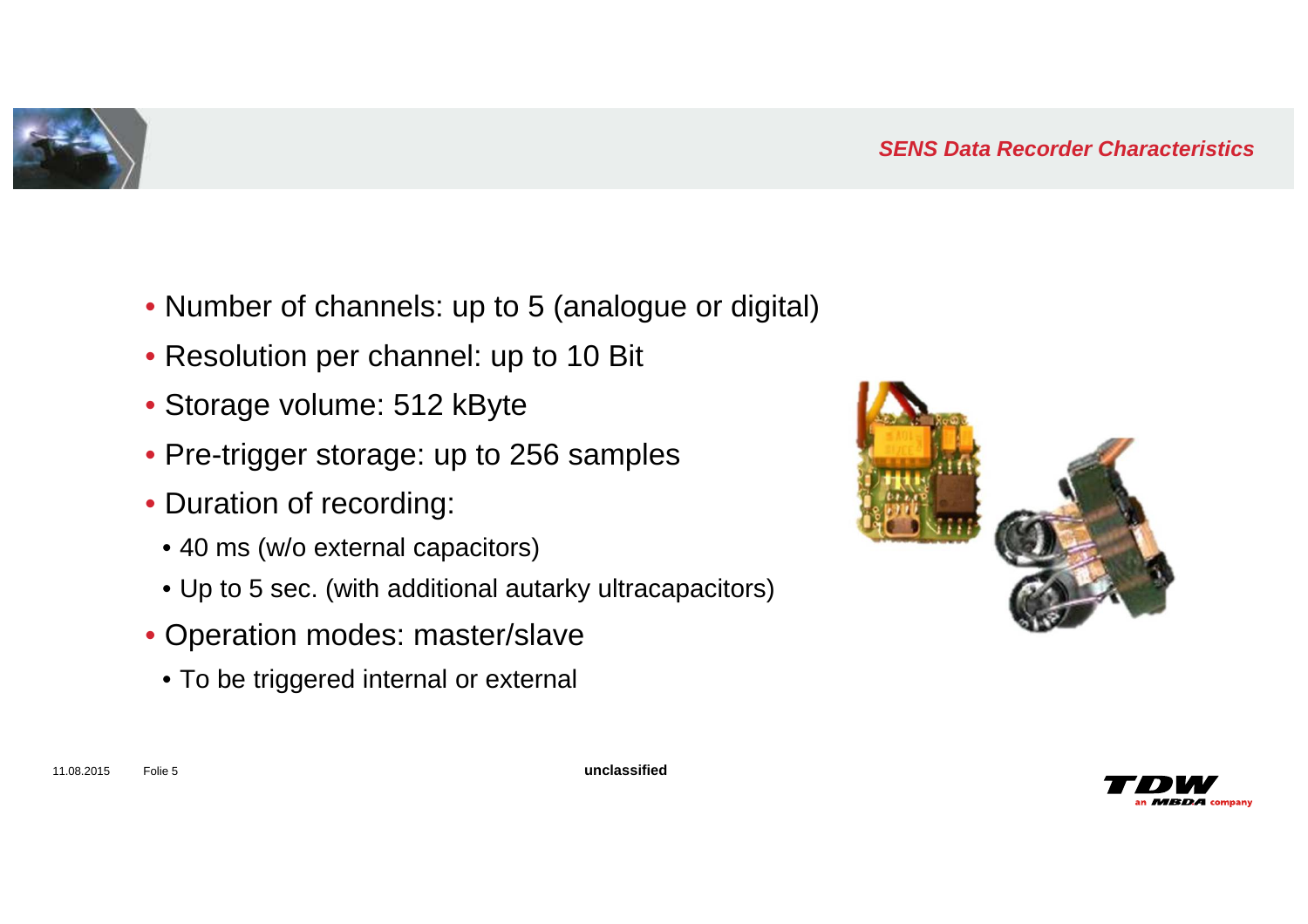

- Number of channels: up to 5 (analogue or digital)
- Resolution per channel: up to 10 Bit
- Storage volume: 512 kByte
- Pre-trigger storage: up to 256 samples
- Duration of recording:
	- 40 ms (w/o external capacitors)
	- Up to 5 sec. (with additional autarky ultracapacitors)
- Operation modes: master/slave
- To be triggered internal or external



11.08.2015 Folie 5

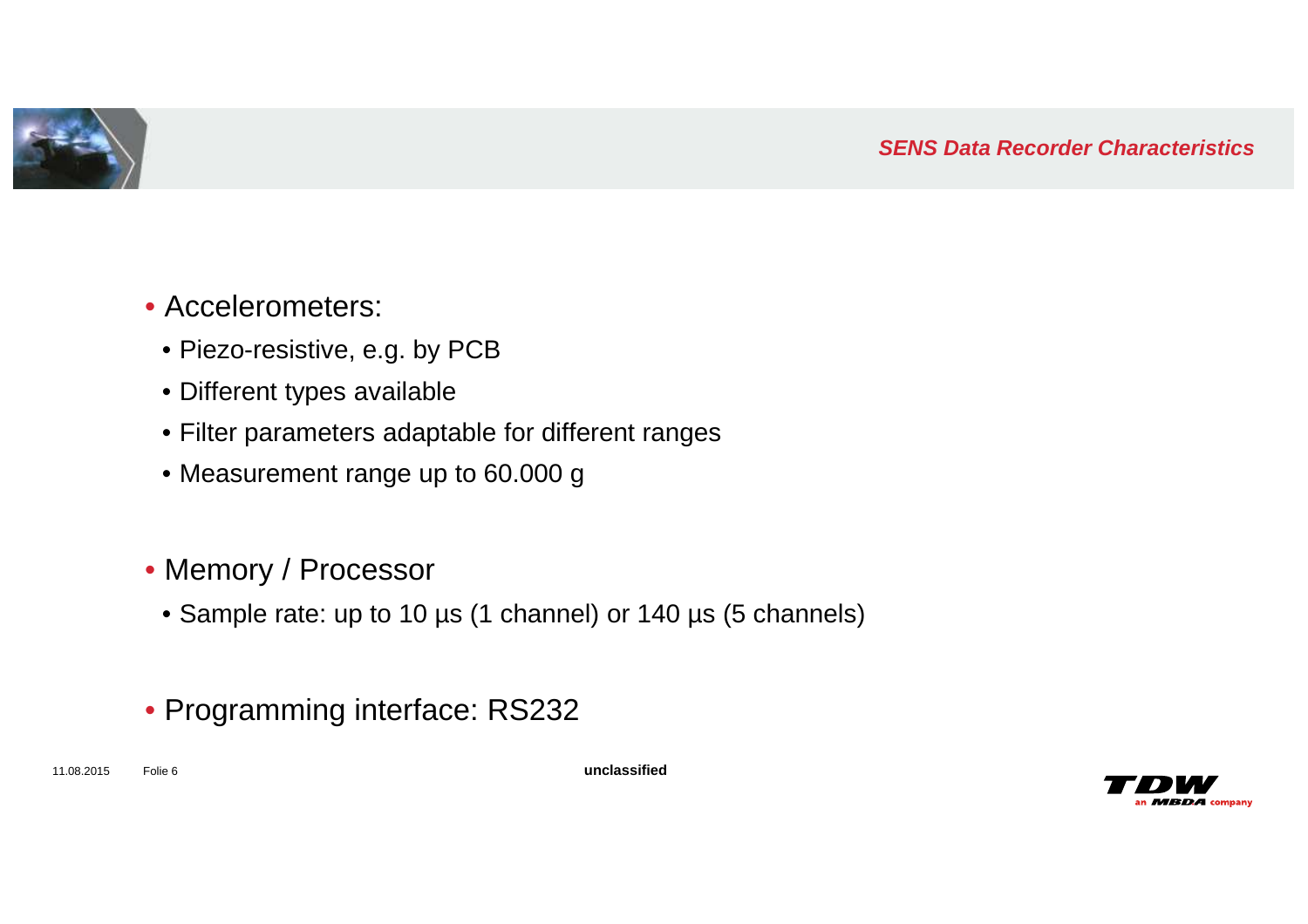

- Accelerometers:
- Piezo-resistive, e.g. by PCB
- Different types available
- Filter parameters adaptable for different ranges
- Measurement range up to 60.000 g
- Memory / Processor
- Sample rate: up to 10 µs (1 channel) or 140 µs (5 channels)
- Programming interface: RS232

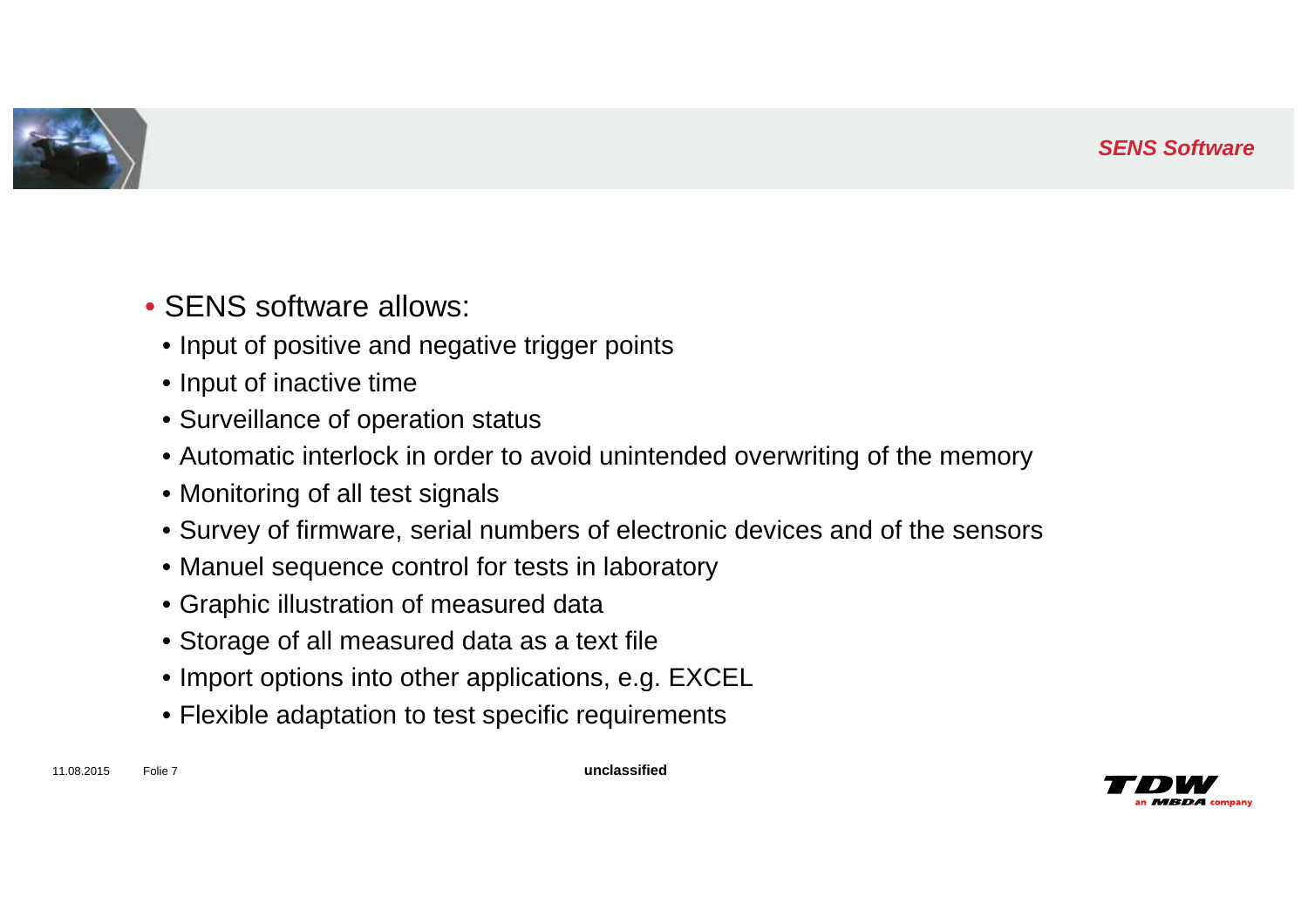#### **SENS Software**



- SENS software allows:
- Input of positive and negative trigger points
- Input of inactive time
- Surveillance of operation status
- Automatic interlock in order to avoid unintended overwriting of the memory
- Monitoring of all test signals
- Survey of firmware, serial numbers of electronic devices and of the sensors
- Manuel sequence control for tests in laboratory
- Graphic illustration of measured data
- Storage of all measured data as a text file
- Import options into other applications, e.g. EXCEL
- Flexible adaptation to test specific requirements

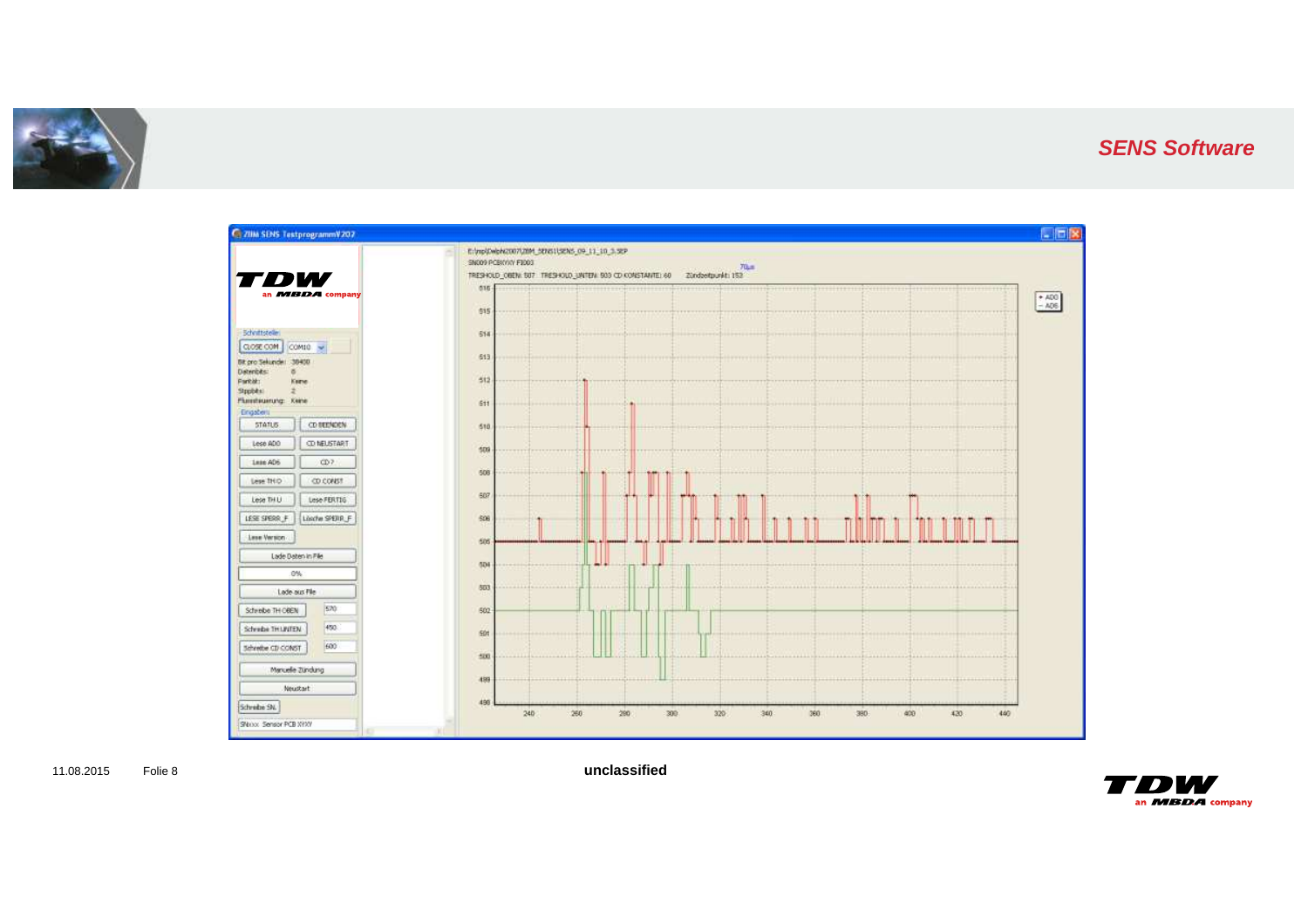

#### **SENS Software**



11.08.2015 Folie 8

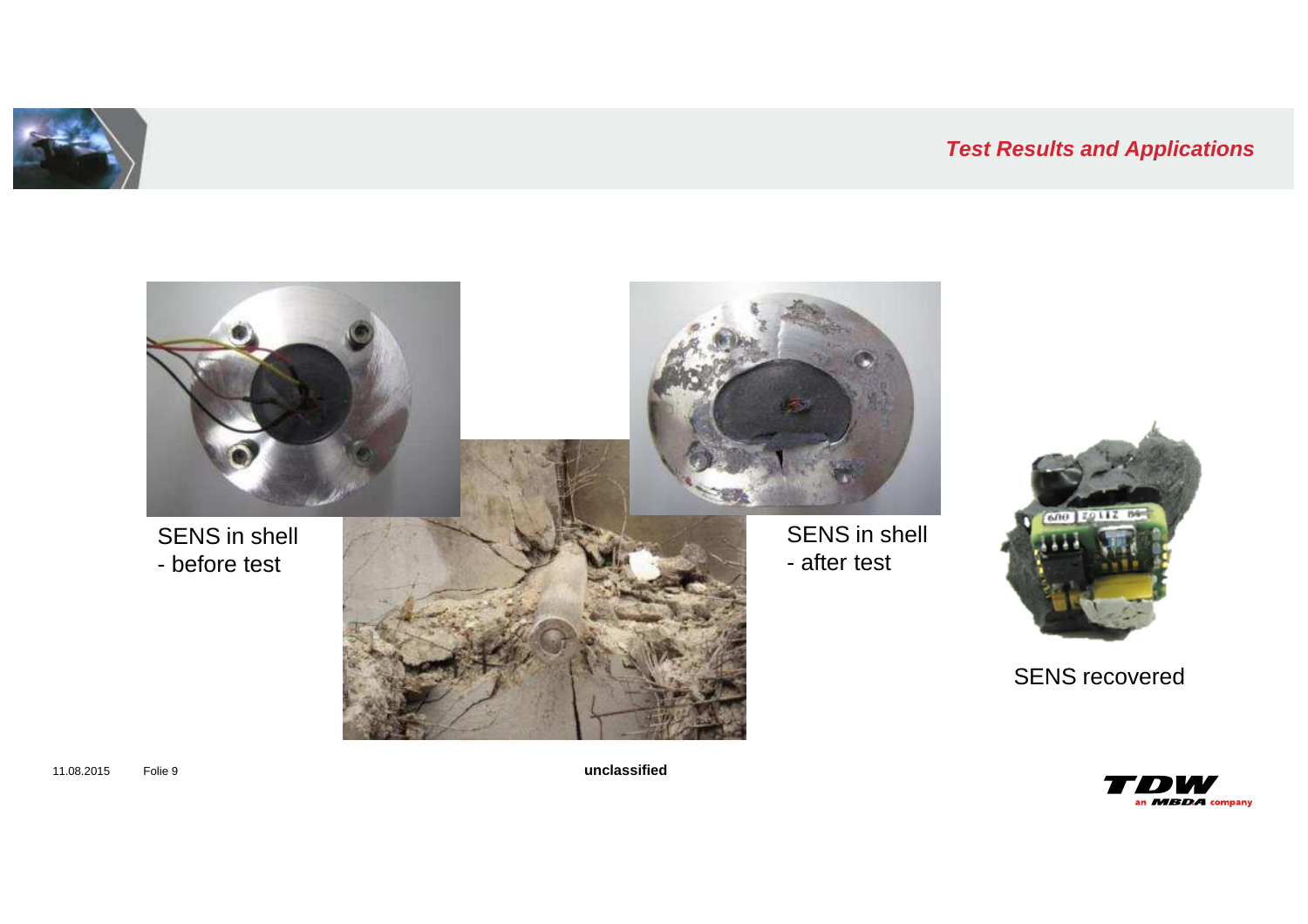





**unclassified**

11.08.2015 Folie 9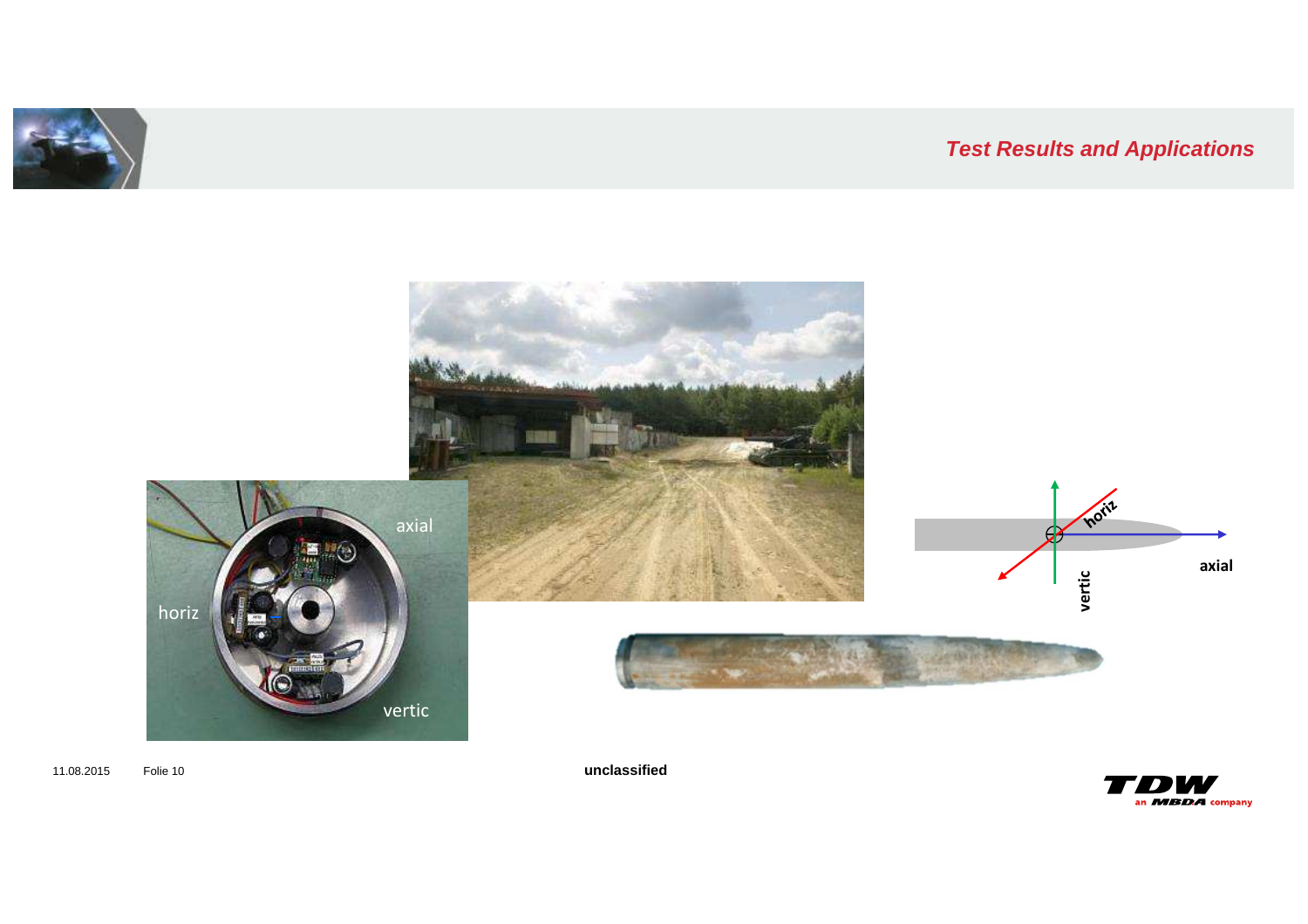



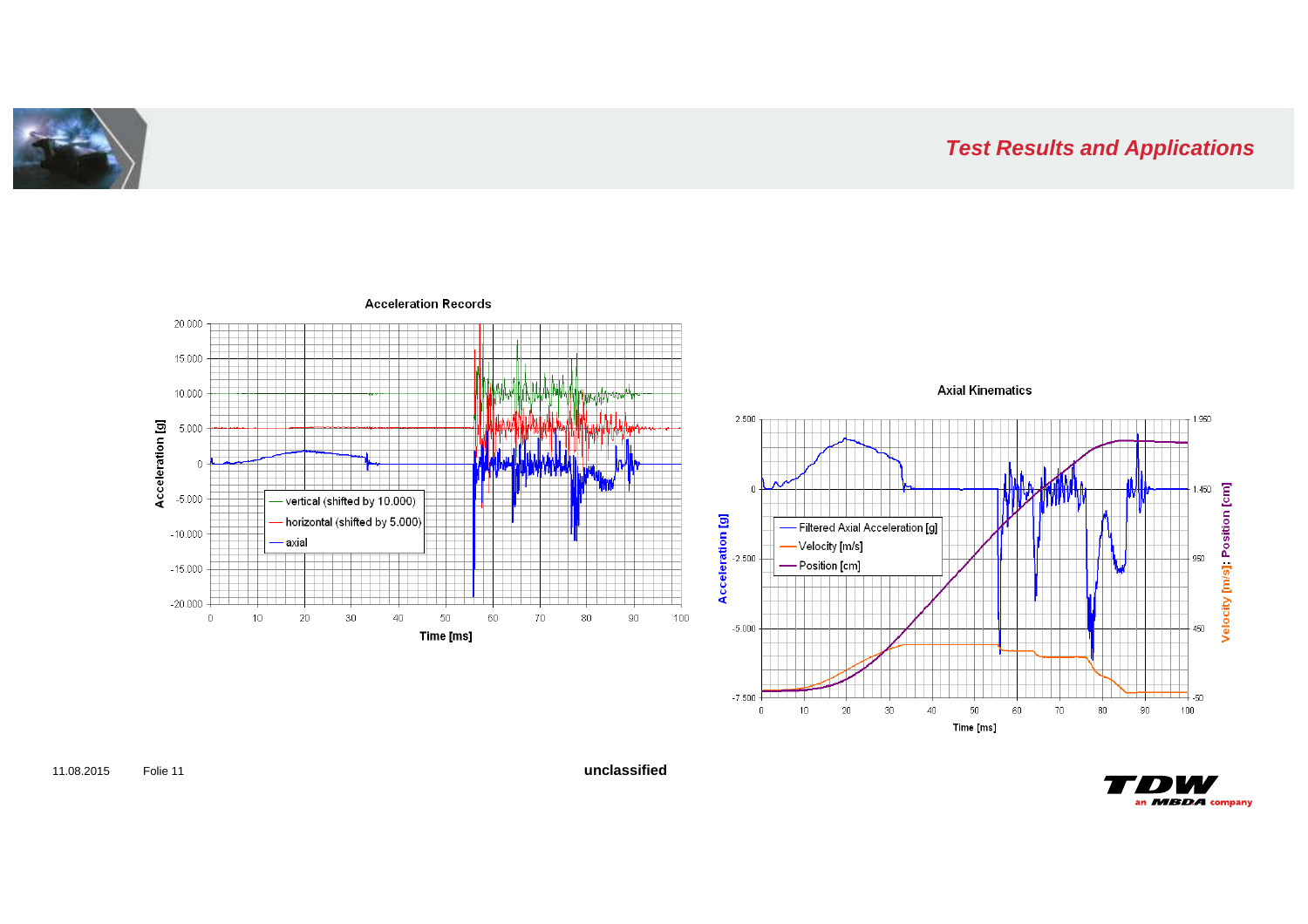



**Acceleration Records** 

 $\blacksquare$ an MBDA company

**unclassified**

11.08.2015 Folie 11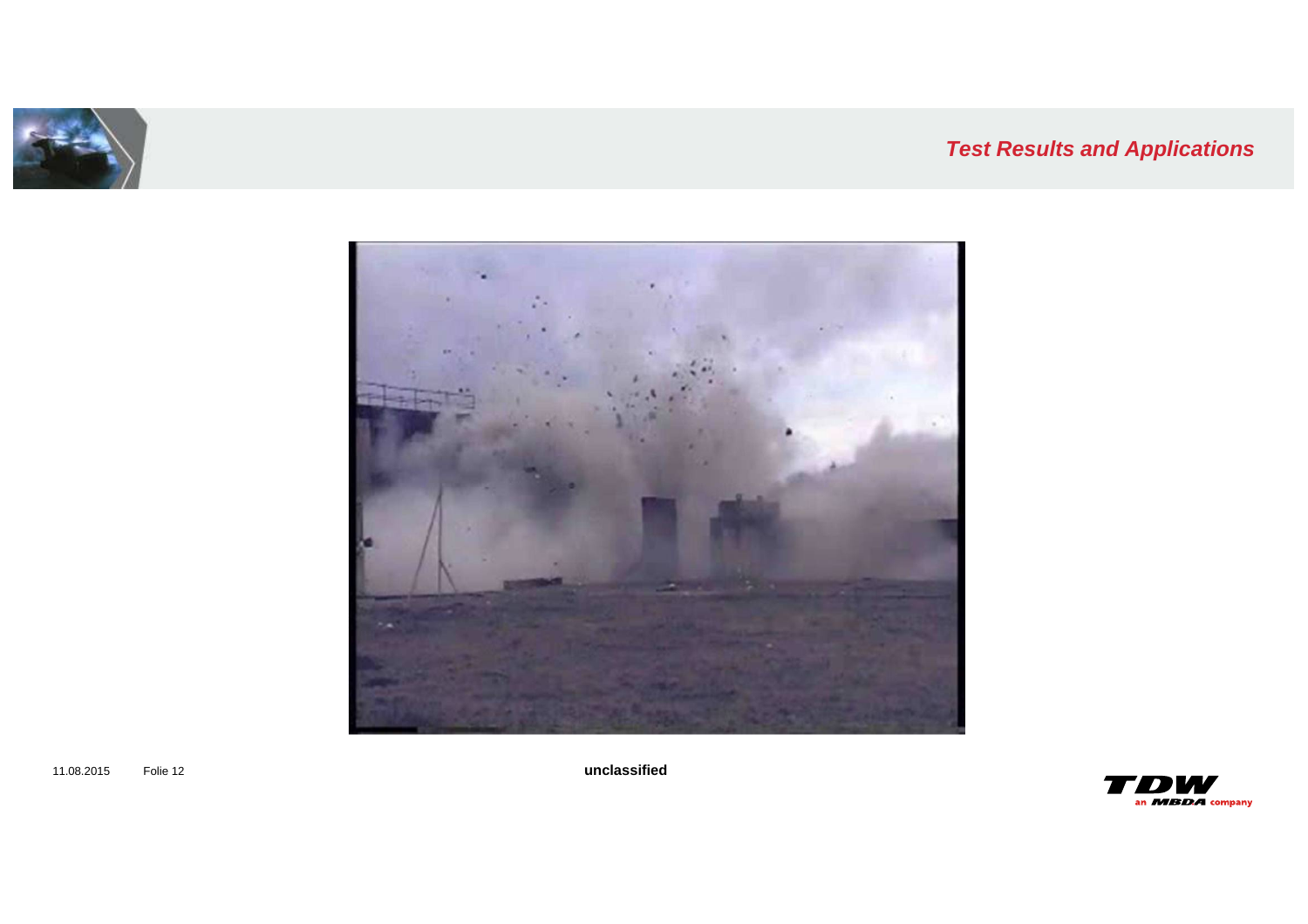





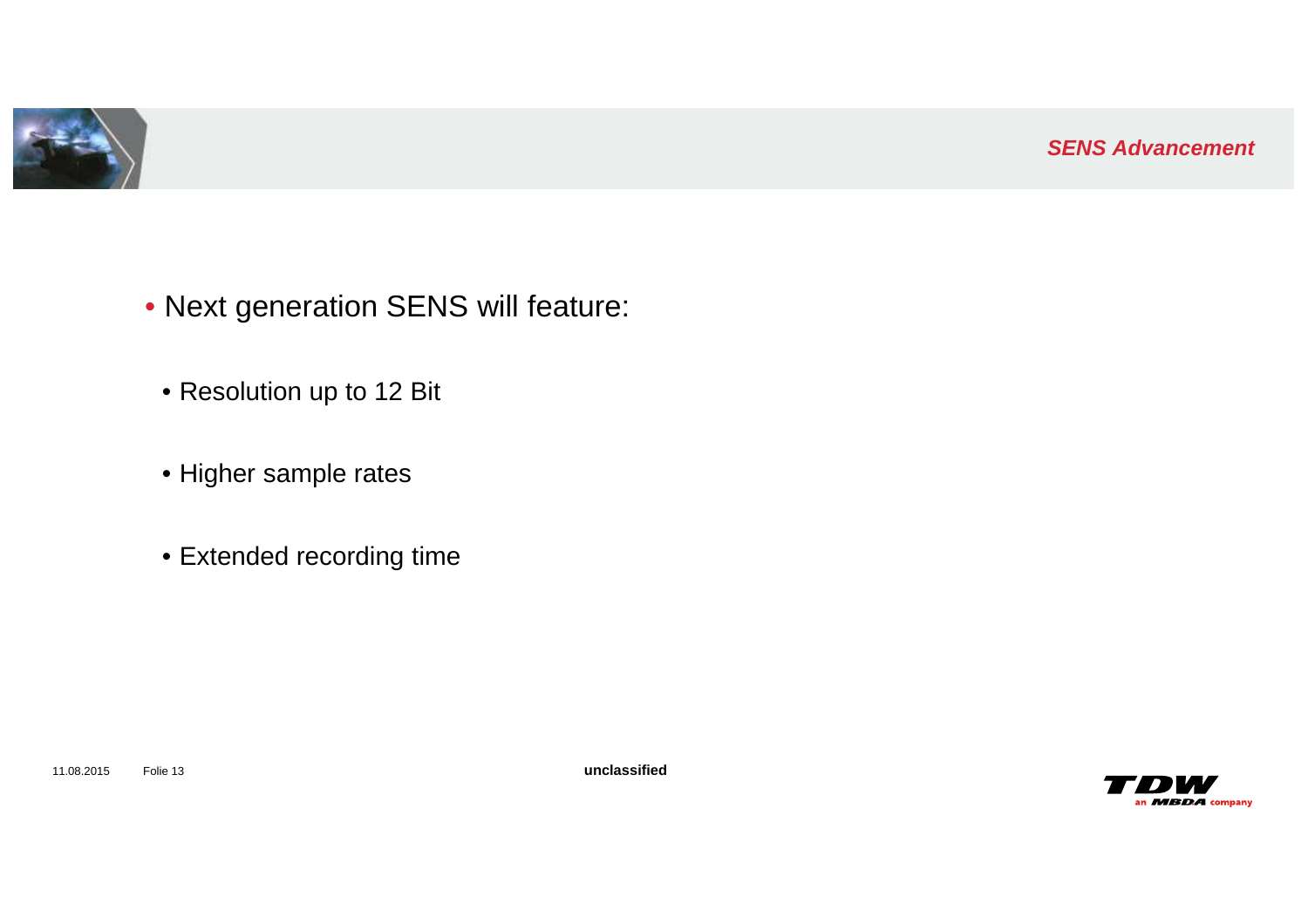

- Next generation SENS will feature:
- Resolution up to 12 Bit
- Higher sample rates
- Extended recording time

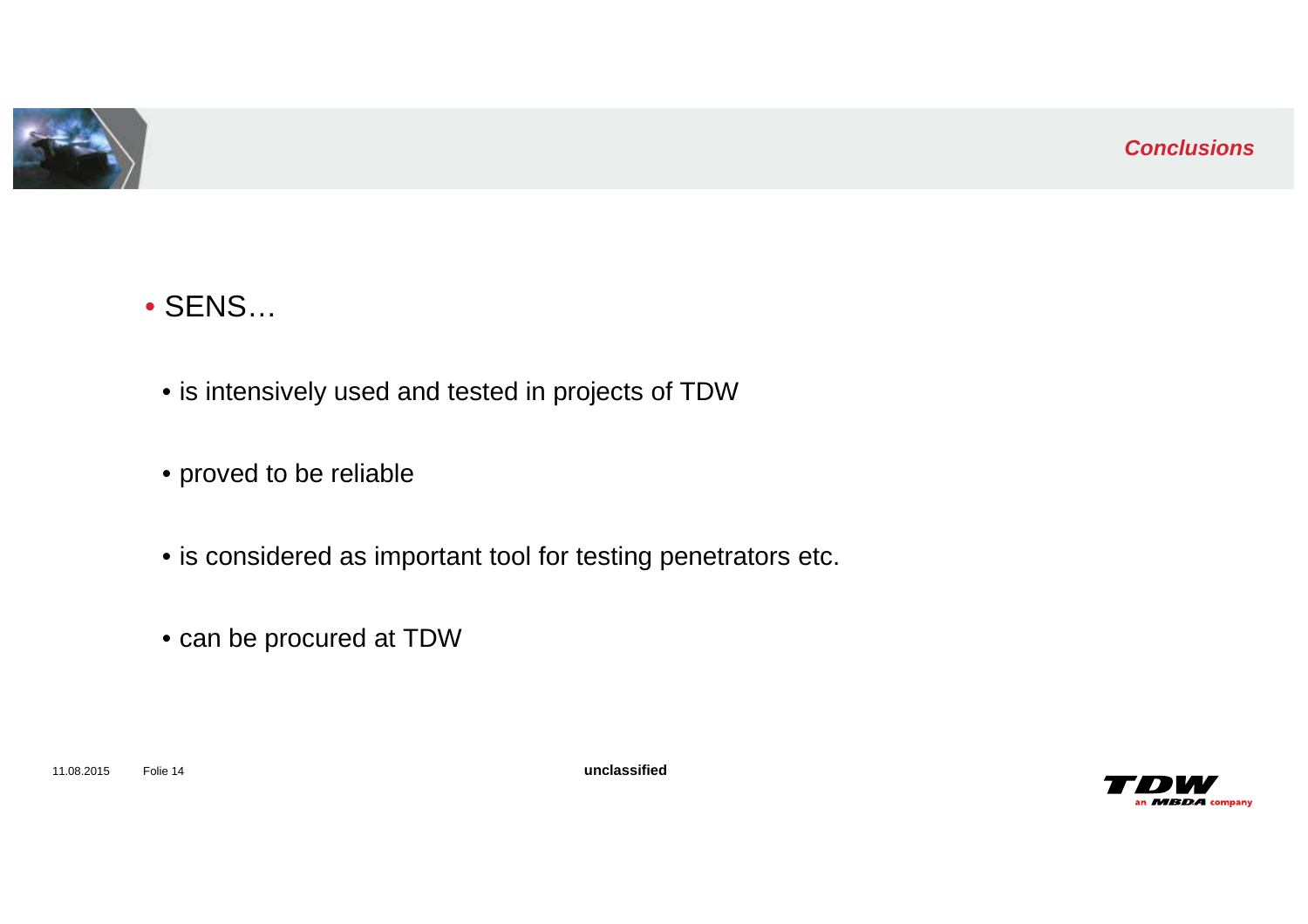

# • SENS…

- is intensively used and tested in projects of TDW
- proved to be reliable
- is considered as important tool for testing penetrators etc.
- can be procured at TDW